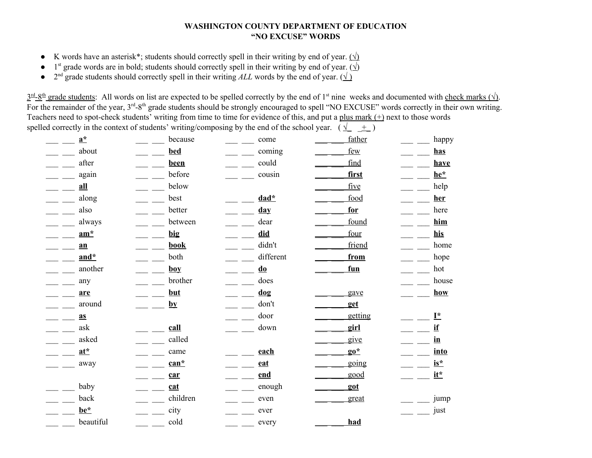## **WASHINGTON COUNTY DEPARTMENT OF EDUCATION "NO EXCUSE" WORDS**

- **•** K words have an asterisk\*; students should correctly spell in their writing by end of year.  $(\sqrt)$
- **•** 1<sup>st</sup> grade words are in bold; students should correctly spell in their writing by end of year. ( $\sqrt{ }$ )
- **•**  $2^{nd}$  grade students should correctly spell in their writing *ALL* words by the end of year. ( $\sqrt{ }$ )

 $\frac{3^{rd}-8^{th}}{2^{rd}-8^{th}}$  grade students: All words on list are expected to be spelled correctly by the end of 1<sup>st</sup> nine weeks and documented with check marks ( $\sqrt{ }$ ). For the remainder of the year, 3<sup>rd</sup>-8<sup>th</sup> grade students should be strongly encouraged to spell "NO EXCUSE" words correctly in their own writing. Teachers need to spot-check students' writing from time to time for evidence of this, and put a plus mark (+) next to those words spelled correctly in the context of students' writing/composing by the end of the school year. ( $\sqrt{\frac{1}{\pm}}$ )

| $a^*$                              | because           | come                              | father  | happy           |
|------------------------------------|-------------------|-----------------------------------|---------|-----------------|
| about                              | <b>bed</b>        | coming                            | few     | <u>has</u>      |
| after                              | been              | could                             | find    | have            |
| again                              | before            | cousin                            | first   | he*             |
| all                                | below             |                                   | five    | help            |
| along                              | best              | $dad*$                            | food    | her             |
| also                               | better            | <u>day</u>                        | for     | here            |
| always                             | between           | dear                              | found   | him             |
| $am^*$                             | big               | did                               | four    | his             |
| $a$ n                              | book              | didn't                            | friend  | home            |
| and*                               | both              | different                         | from    | hope            |
| another                            | $\underline{boy}$ | $\overline{\mathbf{d}\mathbf{0}}$ | fun     | hot             |
| any                                | brother           | does                              |         | house           |
| are                                | <u>but</u>        | $\frac{dog}{d}$                   | gave    | how             |
| around                             | $\mathbf{by}$     | don't                             | get     |                 |
| a <sub>S</sub>                     | $\frac{1}{2}$ .   | door                              | getting | $I^*$           |
| ask                                | call              | down                              | girl    | if              |
| asked                              | called            |                                   | give    | $\mathbf{in}$   |
| $at^*$                             | came              | each                              | $90^*$  | into            |
| away                               | $can*$            | eat                               | going   | $is*$           |
| $\mathbb{Z}^{\mathbb{Z}^{\times}}$ | car               | end                               | good    | $\mathbf{it}^*$ |
| baby<br>$=$ $=$ $-$                | cat               | enough                            | got     |                 |
| back                               | children          | even                              | great   | jump            |
| be*                                | city              | ever                              |         | just            |
| beautiful                          | cold              | every                             | had     |                 |
|                                    |                   |                                   |         |                 |